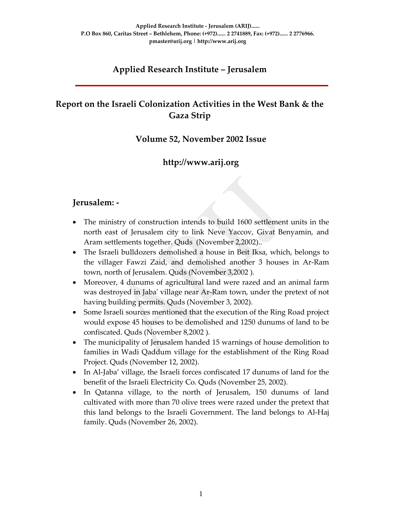# **Applied Research Institute – Jerusalem**

# **Report on the Israeli Colonization Activities in the West Bank & the Gaza Strip**

#### **Volume 52, November 2002 Issue**

## **http://www.arij.org**

#### **Jerusalem: ‐**

- The ministry of construction intends to build 1600 settlement units in the north east of Jerusalem city to link Neve Yaccov, Givat Benyamin, and Aram settlements together. Quds (November 2,2002)..
- The Israeli bulldozers demolished a house in Beit Iksa, which, belongs to the villager Fawzi Zaid, and demolished another 3 houses in Ar‐Ram town, north of Jerusalem. Quds (November 3,2002 ).
- Moreover, 4 dunums of agricultural land were razed and an animal farm was destroyed in Jabaʹ village near Ar‐Ram town, under the pretext of not having building permits. Quds (November 3, 2002).
- Some Israeli sources mentioned that the execution of the Ring Road project would expose 45 houses to be demolished and 1250 dunums of land to be confiscated. Quds (November 8,2002 ).
- The municipality of Jerusalem handed 15 warnings of house demolition to families in Wadi Qaddum village for the establishment of the Ring Road Project. Quds (November 12, 2002).
- In Al-Jaba' village, the Israeli forces confiscated 17 dunums of land for the benefit of the Israeli Electricity Co. Quds (November 25, 2002).
- In Qatanna village, to the north of Jerusalem, 150 dunums of land cultivated with more than 70 olive trees were razed under the pretext that this land belongs to the Israeli Government. The land belongs to Al‐Haj family. Quds (November 26, 2002).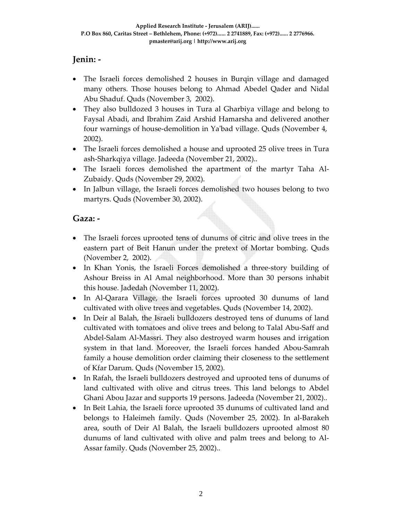## **Jenin: ‐**

- The Israeli forces demolished 2 houses in Burqin village and damaged many others. Those houses belong to Ahmad Abedel Qader and Nidal Abu Shaduf. Quds (November 3, 2002).
- They also bulldozed 3 houses in Tura al Gharbiya village and belong to Faysal Abadi, and Ibrahim Zaid Arshid Hamarsha and delivered another four warnings of house-demolition in Ya'bad village. Quds (November 4, 2002).
- The Israeli forces demolished a house and uprooted 25 olive trees in Tura ash‐Sharkqiya village. Jadeeda (November 21, 2002)..
- The Israeli forces demolished the apartment of the martyr Taha Al-Zubaidy. Quds (November 29, 2002).
- In Jalbun village, the Israeli forces demolished two houses belong to two martyrs. Quds (November 30, 2002).

#### **Gaza: ‐**

- The Israeli forces uprooted tens of dunums of citric and olive trees in the eastern part of Beit Hanun under the pretext of Mortar bombing. Quds (November 2, 2002).
- In Khan Yonis, the Israeli Forces demolished a three-story building of Ashour Breiss in Al Amal neighborhood. More than 30 persons inhabit this house. Jadedah (November 11, 2002).
- In Al-Qarara Village, the Israeli forces uprooted 30 dunums of land cultivated with olive trees and vegetables. Quds (November 14, 2002).
- In Deir al Balah, the Israeli bulldozers destroyed tens of dunums of land cultivated with tomatoes and olive trees and belong to Talal Abu‐Saff and Abdel‐Salam Al‐Massri. They also destroyed warm houses and irrigation system in that land. Moreover, the Israeli forces handed Abou‐Samrah family a house demolition order claiming their closeness to the settlement of Kfar Darum. Quds (November 15, 2002).
- In Rafah, the Israeli bulldozers destroyed and uprooted tens of dunums of land cultivated with olive and citrus trees. This land belongs to Abdel Ghani Abou Jazar and supports 19 persons. Jadeeda (November 21, 2002)..
- In Beit Lahia, the Israeli force uprooted 35 dunums of cultivated land and belongs to Haleimeh family. Quds (November 25, 2002). In al‐Barakeh area, south of Deir Al Balah, the Israeli bulldozers uprooted almost 80 dunums of land cultivated with olive and palm trees and belong to Al‐ Assar family. Quds (November 25, 2002)..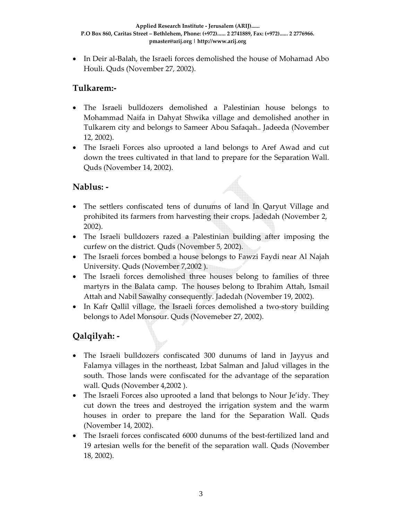• In Deir al-Balah, the Israeli forces demolished the house of Mohamad Abo Houli. Quds (November 27, 2002).

## **Tulkarem:‐**

- The Israeli bulldozers demolished a Palestinian house belongs to Mohammad Naifa in Dahyat Shwika village and demolished another in Tulkarem city and belongs to Sameer Abou Safaqah.. Jadeeda (November 12, 2002).
- The Israeli Forces also uprooted a land belongs to Aref Awad and cut down the trees cultivated in that land to prepare for the Separation Wall. Quds (November 14, 2002).

#### **Nablus: ‐**

- The settlers confiscated tens of dunums of land In Qaryut Village and prohibited its farmers from harvesting their crops. Jadedah (November 2, 2002).
- The Israeli bulldozers razed a Palestinian building after imposing the curfew on the district. Quds (November 5, 2002).
- The Israeli forces bombed a house belongs to Fawzi Faydi near Al Najah University. Quds (November 7,2002 ).
- The Israeli forces demolished three houses belong to families of three martyrs in the Balata camp. The houses belong to Ibrahim Attah, Ismail Attah and Nabil Sawalhy consequently. Jadedah (November 19, 2002).
- In Kafr Qallil village, the Israeli forces demolished a two-story building belongs to Adel Monsour. Quds (Novemeber 27, 2002).

# **Qalqilyah: ‐**

- The Israeli bulldozers confiscated 300 dunums of land in Jayyus and Falamya villages in the northeast, Izbat Salman and Jalud villages in the south. Those lands were confiscated for the advantage of the separation wall. Quds (November 4,2002 ).
- The Israeli Forces also uprooted a land that belongs to Nour Je'idy. They cut down the trees and destroyed the irrigation system and the warm houses in order to prepare the land for the Separation Wall. Quds (November 14, 2002).
- The Israeli forces confiscated 6000 dunums of the best-fertilized land and 19 artesian wells for the benefit of the separation wall. Quds (November 18, 2002).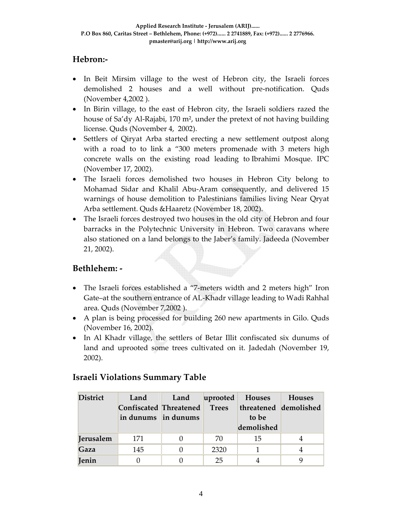# **Hebron:‐**

- In Beit Mirsim village to the west of Hebron city, the Israeli forces demolished 2 houses and a well without pre‐notification. Quds (November 4,2002 ).
- In Birin village, to the east of Hebron city, the Israeli soldiers razed the house of Sa'dy Al‐Rajabi, 170 m², under the pretext of not having building license. Quds (November 4, 2002).
- Settlers of Qiryat Arba started erecting a new settlement outpost along with a road to to link a "300 meters promenade with 3 meters high concrete walls on the existing road leading to Ibrahimi Mosque. IPC (November 17, 2002).
- The Israeli forces demolished two houses in Hebron City belong to Mohamad Sidar and Khalil Abu‐Aram consequently, and delivered 15 warnings of house demolition to Palestinians families living Near Qryat Arba settlement. Quds &Haaretz (November 18, 2002).
- The Israeli forces destroyed two houses in the old city of Hebron and four barracks in the Polytechnic University in Hebron. Two caravans where also stationed on a land belongs to the Jaber's family. Jadeeda (November 21, 2002).

## **Bethlehem: ‐**

- The Israeli forces established a "7-meters width and 2 meters high" Iron Gate–at the southern entrance of AL‐Khadr village leading to Wadi Rahhal area. Quds (November 7,2002 ).
- A plan is being processed for building 260 new apartments in Gilo. Quds (November 16, 2002).
- In Al Khadr village, the settlers of Betar Illit confiscated six dunums of land and uprooted some trees cultivated on it. Jadedah (November 19, 2002).

| <b>District</b>  | Land                   | Land | uprooted     | <b>Houses</b>         | Houses |
|------------------|------------------------|------|--------------|-----------------------|--------|
|                  | Confiscated Threatened |      | <b>Trees</b> | threatened demolished |        |
|                  | in dunums in dunums    |      |              | to be                 |        |
|                  |                        |      |              | demolished            |        |
| <b>Jerusalem</b> | 171                    |      | 70           | 15                    |        |
| Gaza             | 145                    |      | 2320         |                       |        |
| <b>Jenin</b>     |                        |      | 25           |                       |        |

## **Israeli Violations Summary Table**